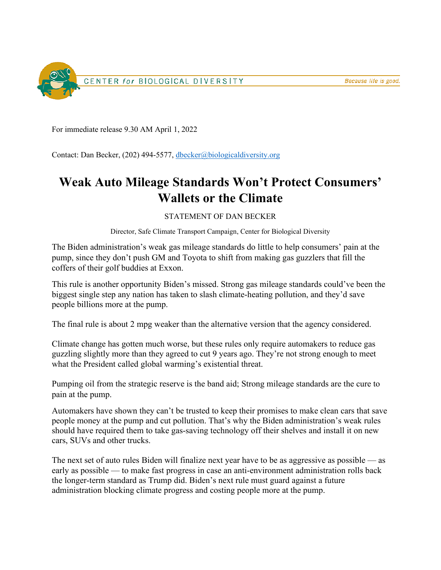

For immediate release 9.30 AM April 1, 2022

Contact: Dan Becker, (202) 494-5577, [dbecker@biologicaldiversity.org](mailto:dbecker@biologicaldiversity.org)

## **Weak Auto Mileage Standards Won't Protect Consumers' Wallets or the Climate**

## STATEMENT OF DAN BECKER

Director, Safe Climate Transport Campaign, Center for Biological Diversity

The Biden administration's weak gas mileage standards do little to help consumers' pain at the pump, since they don't push GM and Toyota to shift from making gas guzzlers that fill the coffers of their golf buddies at Exxon.

This rule is another opportunity Biden's missed. Strong gas mileage standards could've been the biggest single step any nation has taken to slash climate-heating pollution, and they'd save people billions more at the pump.

The final rule is about 2 mpg weaker than the alternative version that the agency considered.

Climate change has gotten much worse, but these rules only require automakers to reduce gas guzzling slightly more than they agreed to cut 9 years ago. They're not strong enough to meet what the President called global warming's existential threat.

Pumping oil from the strategic reserve is the band aid; Strong mileage standards are the cure to pain at the pump.

Automakers have shown they can't be trusted to keep their promises to make clean cars that save people money at the pump and cut pollution. That's why the Biden administration's weak rules should have required them to take gas-saving technology off their shelves and install it on new cars, SUVs and other trucks.

The next set of auto rules Biden will finalize next year have to be as aggressive as possible — as early as possible — to make fast progress in case an anti-environment administration rolls back the longer-term standard as Trump did. Biden's next rule must guard against a future administration blocking climate progress and costing people more at the pump.